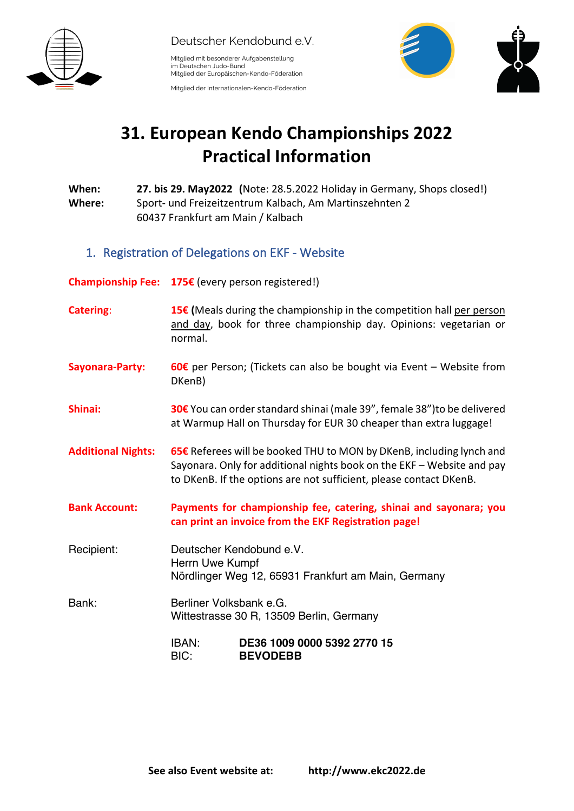

Deutscher Kendobund e.V.

Mitglied mit besonderer Aufgabenstellung im Deutschen Judo-Bund Mitglied der Europäischen-Kendo-Föderation

Mitglied der Internationalen-Kendo-Föderation



## **31. European Kendo Championships 2022 Practical Information**

| When:<br><b>Where:</b>    |  | 27. bis 29. May2022 (Note: 28.5.2022 Holiday in Germany, Shops closed!)<br>Sport- und Freizeitzentrum Kalbach, Am Martinszehnten 2<br>60437 Frankfurt am Main / Kalbach |                                                                                                                                                                                                                      |  |
|---------------------------|--|-------------------------------------------------------------------------------------------------------------------------------------------------------------------------|----------------------------------------------------------------------------------------------------------------------------------------------------------------------------------------------------------------------|--|
|                           |  |                                                                                                                                                                         | 1. Registration of Delegations on EKF - Website                                                                                                                                                                      |  |
| <b>Championship Fee:</b>  |  | 175€ (every person registered!)                                                                                                                                         |                                                                                                                                                                                                                      |  |
| <b>Catering:</b>          |  | normal.                                                                                                                                                                 | 15€ (Meals during the championship in the competition hall per person<br>and day, book for three championship day. Opinions: vegetarian or                                                                           |  |
| <b>Sayonara-Party:</b>    |  | 60€ per Person; (Tickets can also be bought via Event – Website from<br>DKenB)                                                                                          |                                                                                                                                                                                                                      |  |
| Shinai:                   |  |                                                                                                                                                                         | 30€ You can order standard shinai (male 39", female 38") to be delivered<br>at Warmup Hall on Thursday for EUR 30 cheaper than extra luggage!                                                                        |  |
| <b>Additional Nights:</b> |  |                                                                                                                                                                         | 65€ Referees will be booked THU to MON by DKenB, including lynch and<br>Sayonara. Only for additional nights book on the EKF - Website and pay<br>to DKenB. If the options are not sufficient, please contact DKenB. |  |
| <b>Bank Account:</b>      |  | Payments for championship fee, catering, shinai and sayonara; you<br>can print an invoice from the EKF Registration page!                                               |                                                                                                                                                                                                                      |  |
| Recipient:                |  | Deutscher Kendobund e.V.<br>Herrn Uwe Kumpf<br>Nördlinger Weg 12, 65931 Frankfurt am Main, Germany                                                                      |                                                                                                                                                                                                                      |  |
| Bank:                     |  | Berliner Volksbank e.G.<br>Wittestrasse 30 R, 13509 Berlin, Germany                                                                                                     |                                                                                                                                                                                                                      |  |
|                           |  | IBAN:<br>BIC:                                                                                                                                                           | DE36 1009 0000 5392 2770 15<br><b>BEVODEBB</b>                                                                                                                                                                       |  |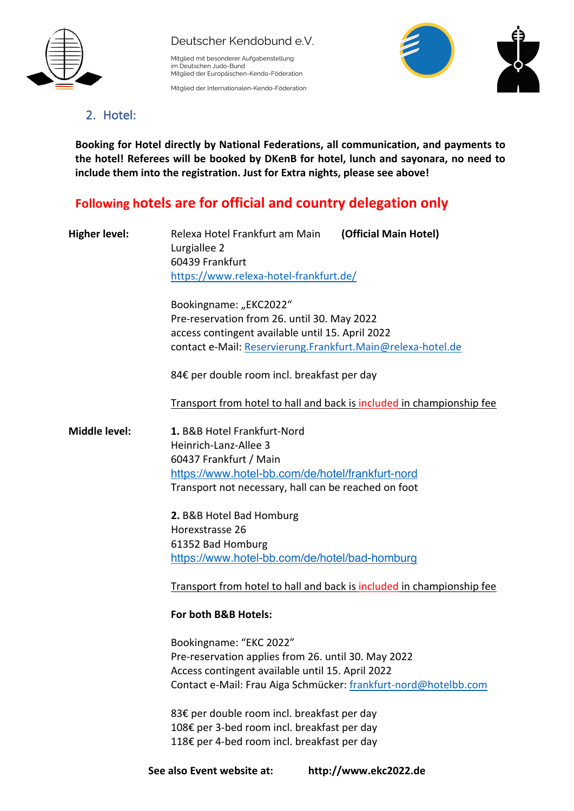

## Deutscher Kendobund e.V.

Mitglied mit besonderer Aufgabenstellung im Deutschen Judo-Bund Mitglied der Europäischen-Kendo-Föderation





2. Hotel:

**Booking for Hotel directly by National Federations, all communication, and payments to the hotel! Referees will be booked by DKenB for hotel, lunch and sayonara, no need to include them into the registration. Just for Extra nights, please see above!**

## **Following hotels are for official and country delegation only**

| <b>Higher level:</b> | Relexa Hotel Frankfurt am Main<br>Lurgiallee 2                        | (Official Main Hotel)                                                 |  |  |  |  |  |
|----------------------|-----------------------------------------------------------------------|-----------------------------------------------------------------------|--|--|--|--|--|
|                      | 60439 Frankfurt                                                       |                                                                       |  |  |  |  |  |
|                      | https://www.relexa-hotel-frankfurt.de/                                |                                                                       |  |  |  |  |  |
|                      | Bookingname: "EKC2022"                                                |                                                                       |  |  |  |  |  |
|                      | Pre-reservation from 26. until 30. May 2022                           |                                                                       |  |  |  |  |  |
|                      | access contingent available until 15. April 2022                      |                                                                       |  |  |  |  |  |
|                      | contact e-Mail: Reservierung.Frankfurt.Main@relexa-hotel.de           |                                                                       |  |  |  |  |  |
|                      | 84€ per double room incl. breakfast per day                           |                                                                       |  |  |  |  |  |
|                      |                                                                       | Transport from hotel to hall and back is included in championship fee |  |  |  |  |  |
| <b>Middle level:</b> | 1. B&B Hotel Frankfurt-Nord                                           |                                                                       |  |  |  |  |  |
|                      | Heinrich-Lanz-Allee 3                                                 |                                                                       |  |  |  |  |  |
|                      | 60437 Frankfurt / Main                                                |                                                                       |  |  |  |  |  |
|                      | https://www.hotel-bb.com/de/hotel/frankfurt-nord                      |                                                                       |  |  |  |  |  |
|                      | Transport not necessary, hall can be reached on foot                  |                                                                       |  |  |  |  |  |
|                      | 2. B&B Hotel Bad Homburg                                              |                                                                       |  |  |  |  |  |
|                      | Horexstrasse 26                                                       |                                                                       |  |  |  |  |  |
|                      | 61352 Bad Homburg                                                     |                                                                       |  |  |  |  |  |
|                      | https://www.hotel-bb.com/de/hotel/bad-homburg                         |                                                                       |  |  |  |  |  |
|                      | Transport from hotel to hall and back is included in championship fee |                                                                       |  |  |  |  |  |
|                      | For both B&B Hotels:                                                  |                                                                       |  |  |  |  |  |
|                      | Bookingname: "EKC 2022"                                               |                                                                       |  |  |  |  |  |
|                      | Pre-reservation applies from 26. until 30. May 2022                   |                                                                       |  |  |  |  |  |
|                      | Access contingent available until 15. April 2022                      |                                                                       |  |  |  |  |  |
|                      |                                                                       | Contact e-Mail: Frau Aiga Schmücker: frankfurt-nord@hotelbb.com       |  |  |  |  |  |
|                      | 83€ per double room incl. breakfast per day                           |                                                                       |  |  |  |  |  |
|                      | 108€ per 3-bed room incl. breakfast per day                           |                                                                       |  |  |  |  |  |
|                      | 118€ per 4-bed room incl. breakfast per day                           |                                                                       |  |  |  |  |  |
|                      | See also Event website at:                                            | http://www.ekc2022.de                                                 |  |  |  |  |  |